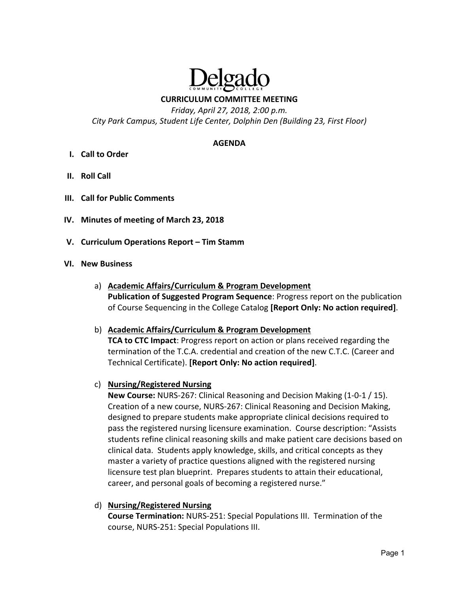

## **CURRICULUM COMMITTEE MEETING**

*Friday, April 27, 2018, 2:00 p.m. City Park Campus, Student Life Center, Dolphin Den (Building 23, First Floor)* 

#### **AGENDA**

- **I. Call to Order**
- **II. Roll Call**
- **III. Call for Public Comments**
- **IV. Minutes of meeting of March 23, 2018**
- **V. Curriculum Operations Report Tim Stamm**

#### **VI. New Business**

a) **Academic Affairs/Curriculum & Program Development Publication of Suggested Program Sequence**: Progress report on the publication of Course Sequencing in the College Catalog **[Report Only: No action required]**.

#### b) **Academic Affairs/Curriculum & Program Development**

**TCA to CTC Impact**: Progress report on action or plans received regarding the termination of the T.C.A. credential and creation of the new C.T.C. (Career and Technical Certificate). **[Report Only: No action required]**.

#### c) **Nursing/Registered Nursing**

**New Course:** NURS‐267: Clinical Reasoning and Decision Making (1‐0‐1 / 15). Creation of a new course, NURS‐267: Clinical Reasoning and Decision Making, designed to prepare students make appropriate clinical decisions required to pass the registered nursing licensure examination. Course description: "Assists students refine clinical reasoning skills and make patient care decisions based on clinical data. Students apply knowledge, skills, and critical concepts as they master a variety of practice questions aligned with the registered nursing licensure test plan blueprint. Prepares students to attain their educational, career, and personal goals of becoming a registered nurse."

## d) **Nursing/Registered Nursing**

**Course Termination:** NURS‐251: Special Populations III. Termination of the course, NURS‐251: Special Populations III.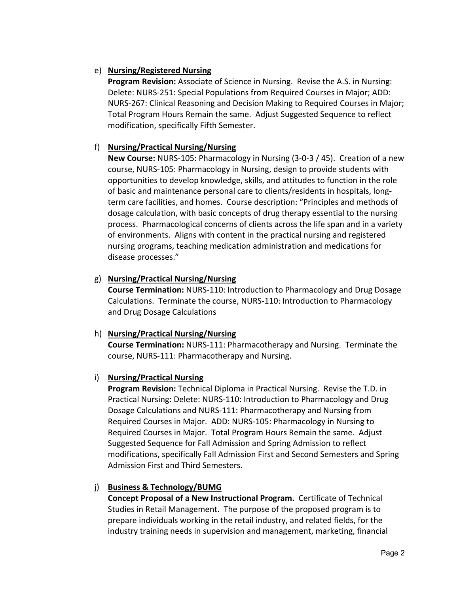## e) **Nursing/Registered Nursing**

**Program Revision:** Associate of Science in Nursing. Revise the A.S. in Nursing: Delete: NURS‐251: Special Populations from Required Courses in Major; ADD: NURS‐267: Clinical Reasoning and Decision Making to Required Courses in Major; Total Program Hours Remain the same. Adjust Suggested Sequence to reflect modification, specifically Fifth Semester.

## f) **Nursing/Practical Nursing/Nursing**

**New Course:** NURS‐105: Pharmacology in Nursing (3‐0‐3 / 45). Creation of a new course, NURS‐105: Pharmacology in Nursing, design to provide students with opportunities to develop knowledge, skills, and attitudes to function in the role of basic and maintenance personal care to clients/residents in hospitals, long‐ term care facilities, and homes. Course description: "Principles and methods of dosage calculation, with basic concepts of drug therapy essential to the nursing process. Pharmacological concerns of clients across the life span and in a variety of environments. Aligns with content in the practical nursing and registered nursing programs, teaching medication administration and medications for disease processes."

## g) **Nursing/Practical Nursing/Nursing**

**Course Termination:** NURS‐110: Introduction to Pharmacology and Drug Dosage Calculations. Terminate the course, NURS‐110: Introduction to Pharmacology and Drug Dosage Calculations

## h) **Nursing/Practical Nursing/Nursing**

**Course Termination:** NURS‐111: Pharmacotherapy and Nursing. Terminate the course, NURS‐111: Pharmacotherapy and Nursing.

# i) **Nursing/Practical Nursing**

**Program Revision:** Technical Diploma in Practical Nursing. Revise the T.D. in Practical Nursing: Delete: NURS‐110: Introduction to Pharmacology and Drug Dosage Calculations and NURS‐111: Pharmacotherapy and Nursing from Required Courses in Major. ADD: NURS‐105: Pharmacology in Nursing to Required Courses in Major. Total Program Hours Remain the same. Adjust Suggested Sequence for Fall Admission and Spring Admission to reflect modifications, specifically Fall Admission First and Second Semesters and Spring Admission First and Third Semesters.

# j) **Business & Technology/BUMG**

**Concept Proposal of a New Instructional Program.** Certificate of Technical Studies in Retail Management. The purpose of the proposed program is to prepare individuals working in the retail industry, and related fields, for the industry training needs in supervision and management, marketing, financial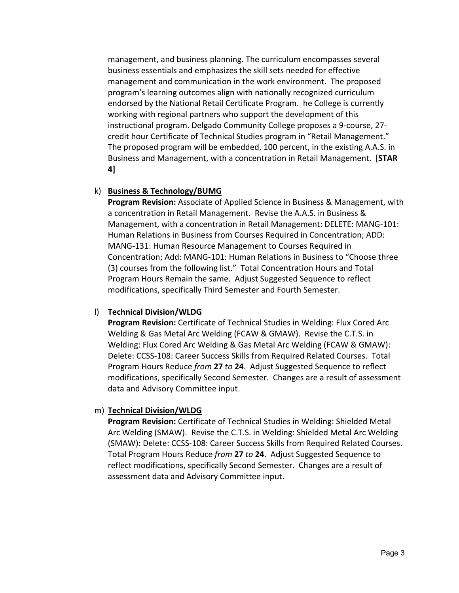management, and business planning. The curriculum encompasses several business essentials and emphasizes the skill sets needed for effective management and communication in the work environment. The proposed program's learning outcomes align with nationally recognized curriculum endorsed by the National Retail Certificate Program. he College is currently working with regional partners who support the development of this instructional program. Delgado Community College proposes a 9‐course, 27‐ credit hour Certificate of Technical Studies program in "Retail Management." The proposed program will be embedded, 100 percent, in the existing A.A.S. in Business and Management, with a concentration in Retail Management. [**STAR 4]**

#### k) **Business & Technology/BUMG**

**Program Revision:** Associate of Applied Science in Business & Management, with a concentration in Retail Management. Revise the A.A.S. in Business & Management, with a concentration in Retail Management: DELETE: MANG‐101: Human Relations in Business from Courses Required in Concentration; ADD: MANG‐131: Human Resource Management to Courses Required in Concentration; Add: MANG‐101: Human Relations in Business to "Choose three (3) courses from the following list." Total Concentration Hours and Total Program Hours Remain the same. Adjust Suggested Sequence to reflect modifications, specifically Third Semester and Fourth Semester.

#### l) **Technical Division/WLDG**

**Program Revision:** Certificate of Technical Studies in Welding: Flux Cored Arc Welding & Gas Metal Arc Welding (FCAW & GMAW). Revise the C.T.S. in Welding: Flux Cored Arc Welding & Gas Metal Arc Welding (FCAW & GMAW): Delete: CCSS‐108: Career Success Skills from Required Related Courses. Total Program Hours Reduce *from* **27** *to* **24**. Adjust Suggested Sequence to reflect modifications, specifically Second Semester. Changes are a result of assessment data and Advisory Committee input.

#### m) **Technical Division/WLDG**

**Program Revision:** Certificate of Technical Studies in Welding: Shielded Metal Arc Welding (SMAW). Revise the C.T.S. in Welding: Shielded Metal Arc Welding (SMAW): Delete: CCSS‐108: Career Success Skills from Required Related Courses. Total Program Hours Reduce *from* **27** *to* **24**. Adjust Suggested Sequence to reflect modifications, specifically Second Semester. Changes are a result of assessment data and Advisory Committee input.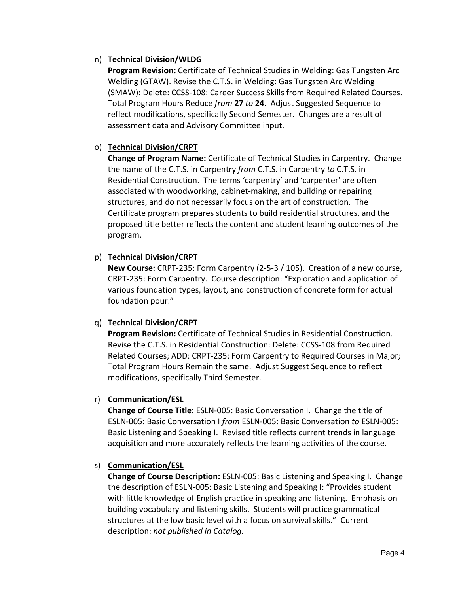## n) **Technical Division/WLDG**

**Program Revision:** Certificate of Technical Studies in Welding: Gas Tungsten Arc Welding (GTAW). Revise the C.T.S. in Welding: Gas Tungsten Arc Welding (SMAW): Delete: CCSS‐108: Career Success Skills from Required Related Courses. Total Program Hours Reduce *from* **27** *to* **24**. Adjust Suggested Sequence to reflect modifications, specifically Second Semester. Changes are a result of assessment data and Advisory Committee input.

# o) **Technical Division/CRPT**

**Change of Program Name:** Certificate of Technical Studies in Carpentry. Change the name of the C.T.S. in Carpentry *from* C.T.S. in Carpentry *to* C.T.S. in Residential Construction. The terms 'carpentry' and 'carpenter' are often associated with woodworking, cabinet‐making, and building or repairing structures, and do not necessarily focus on the art of construction. The Certificate program prepares students to build residential structures, and the proposed title better reflects the content and student learning outcomes of the program.

# p) **Technical Division/CRPT**

**New Course:** CRPT‐235: Form Carpentry (2‐5‐3 / 105). Creation of a new course, CRPT‐235: Form Carpentry. Course description: "Exploration and application of various foundation types, layout, and construction of concrete form for actual foundation pour."

## q) **Technical Division/CRPT**

**Program Revision:** Certificate of Technical Studies in Residential Construction. Revise the C.T.S. in Residential Construction: Delete: CCSS‐108 from Required Related Courses; ADD: CRPT‐235: Form Carpentry to Required Courses in Major; Total Program Hours Remain the same. Adjust Suggest Sequence to reflect modifications, specifically Third Semester.

## r) **Communication/ESL**

**Change of Course Title:** ESLN‐005: Basic Conversation I. Change the title of ESLN‐005: Basic Conversation I *from* ESLN‐005: Basic Conversation *to* ESLN‐005: Basic Listening and Speaking I. Revised title reflects current trends in language acquisition and more accurately reflects the learning activities of the course.

## s) **Communication/ESL**

**Change of Course Description:** ESLN‐005: Basic Listening and Speaking I. Change the description of ESLN‐005: Basic Listening and Speaking I: "Provides student with little knowledge of English practice in speaking and listening. Emphasis on building vocabulary and listening skills. Students will practice grammatical structures at the low basic level with a focus on survival skills." Current description: *not published in Catalog.*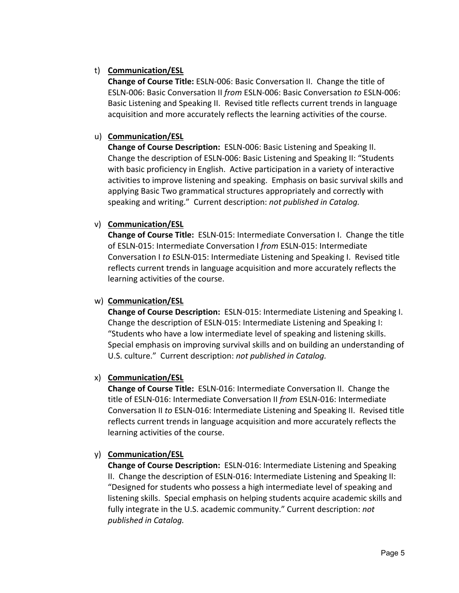## t) **Communication/ESL**

**Change of Course Title:** ESLN‐006: Basic Conversation II. Change the title of ESLN‐006: Basic Conversation II *from* ESLN‐006: Basic Conversation *to* ESLN‐006: Basic Listening and Speaking II. Revised title reflects current trends in language acquisition and more accurately reflects the learning activities of the course.

# u) **Communication/ESL**

**Change of Course Description: ESLN-006: Basic Listening and Speaking II.** Change the description of ESLN‐006: Basic Listening and Speaking II: "Students with basic proficiency in English. Active participation in a variety of interactive activities to improve listening and speaking. Emphasis on basic survival skills and applying Basic Two grammatical structures appropriately and correctly with speaking and writing." Current description: *not published in Catalog.* 

# v) **Communication/ESL**

**Change of Course Title: ESLN-015: Intermediate Conversation I. Change the title** of ESLN‐015: Intermediate Conversation I *from* ESLN‐015: Intermediate Conversation I *to* ESLN‐015: Intermediate Listening and Speaking I. Revised title reflects current trends in language acquisition and more accurately reflects the learning activities of the course.

## w) **Communication/ESL**

**Change of Course Description:** ESLN-015: Intermediate Listening and Speaking I. Change the description of ESLN‐015: Intermediate Listening and Speaking I: "Students who have a low intermediate level of speaking and listening skills. Special emphasis on improving survival skills and on building an understanding of U.S. culture." Current description: *not published in Catalog.* 

## x) **Communication/ESL**

**Change of Course Title: ESLN-016: Intermediate Conversation II. Change the** title of ESLN‐016: Intermediate Conversation II *from* ESLN‐016: Intermediate Conversation II *to* ESLN‐016: Intermediate Listening and Speaking II. Revised title reflects current trends in language acquisition and more accurately reflects the learning activities of the course.

# y) **Communication/ESL**

**Change of Course Description:** ESLN-016: Intermediate Listening and Speaking II. Change the description of ESLN‐016: Intermediate Listening and Speaking II: "Designed for students who possess a high intermediate level of speaking and listening skills. Special emphasis on helping students acquire academic skills and fully integrate in the U.S. academic community." Current description: *not published in Catalog.*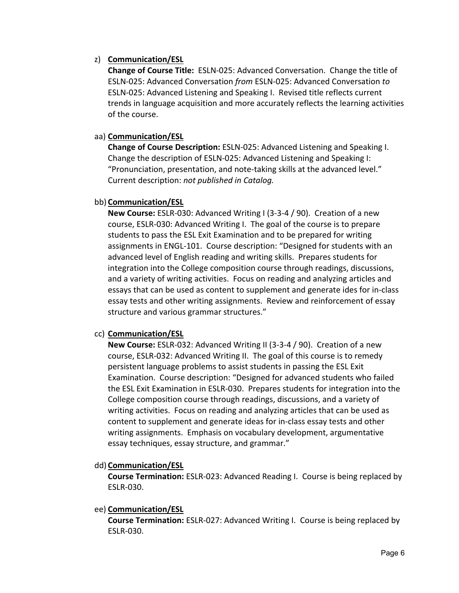## z) **Communication/ESL**

**Change of Course Title:** ESLN‐025: Advanced Conversation. Change the title of ESLN‐025: Advanced Conversation *from* ESLN‐025: Advanced Conversation *to*  ESLN‐025: Advanced Listening and Speaking I. Revised title reflects current trends in language acquisition and more accurately reflects the learning activities of the course.

### aa) **Communication/ESL**

**Change of Course Description:** ESLN‐025: Advanced Listening and Speaking I. Change the description of ESLN‐025: Advanced Listening and Speaking I: "Pronunciation, presentation, and note‐taking skills at the advanced level." Current description: *not published in Catalog.*

#### bb) **Communication/ESL**

**New Course:** ESLR‐030: Advanced Writing I (3‐3‐4 / 90). Creation of a new course, ESLR‐030: Advanced Writing I. The goal of the course is to prepare students to pass the ESL Exit Examination and to be prepared for writing assignments in ENGL‐101. Course description: "Designed for students with an advanced level of English reading and writing skills. Prepares students for integration into the College composition course through readings, discussions, and a variety of writing activities. Focus on reading and analyzing articles and essays that can be used as content to supplement and generate ides for in‐class essay tests and other writing assignments. Review and reinforcement of essay structure and various grammar structures."

## cc) **Communication/ESL**

**New Course:** ESLR‐032: Advanced Writing II (3‐3‐4 / 90). Creation of a new course, ESLR‐032: Advanced Writing II. The goal of this course is to remedy persistent language problems to assist students in passing the ESL Exit Examination. Course description: "Designed for advanced students who failed the ESL Exit Examination in ESLR‐030. Prepares students for integration into the College composition course through readings, discussions, and a variety of writing activities. Focus on reading and analyzing articles that can be used as content to supplement and generate ideas for in‐class essay tests and other writing assignments. Emphasis on vocabulary development, argumentative essay techniques, essay structure, and grammar."

#### dd) **Communication/ESL**

**Course Termination:** ESLR‐023: Advanced Reading I. Course is being replaced by ESLR‐030.

#### ee) **Communication/ESL**

**Course Termination:** ESLR‐027: Advanced Writing I. Course is being replaced by ESLR‐030.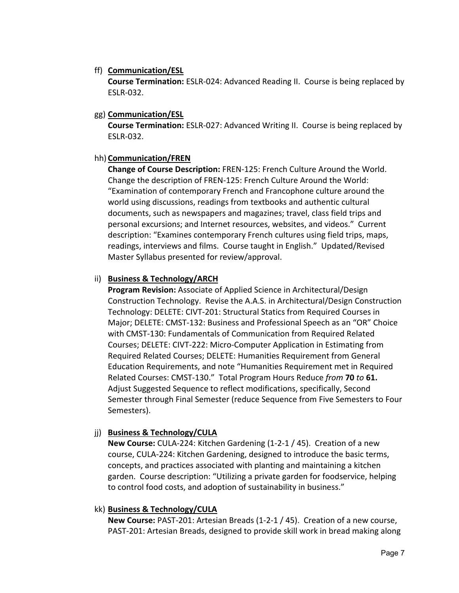#### ff) **Communication/ESL**

**Course Termination:** ESLR‐024: Advanced Reading II. Course is being replaced by ESLR‐032.

#### gg) **Communication/ESL**

**Course Termination:** ESLR‐027: Advanced Writing II. Course is being replaced by ESLR‐032.

# hh) **Communication/FREN**

**Change of Course Description:** FREN‐125: French Culture Around the World. Change the description of FREN‐125: French Culture Around the World: "Examination of contemporary French and Francophone culture around the world using discussions, readings from textbooks and authentic cultural documents, such as newspapers and magazines; travel, class field trips and personal excursions; and Internet resources, websites, and videos." Current description: "Examines contemporary French cultures using field trips, maps, readings, interviews and films. Course taught in English." Updated/Revised Master Syllabus presented for review/approval.

## ii) **Business & Technology/ARCH**

**Program Revision:** Associate of Applied Science in Architectural/Design Construction Technology. Revise the A.A.S. in Architectural/Design Construction Technology: DELETE: CIVT‐201: Structural Statics from Required Courses in Major; DELETE: CMST‐132: Business and Professional Speech as an "OR" Choice with CMST‐130: Fundamentals of Communication from Required Related Courses; DELETE: CIVT‐222: Micro‐Computer Application in Estimating from Required Related Courses; DELETE: Humanities Requirement from General Education Requirements, and note "Humanities Requirement met in Required Related Courses: CMST‐130." Total Program Hours Reduce *from* **70** *to* **61.** Adjust Suggested Sequence to reflect modifications, specifically, Second Semester through Final Semester (reduce Sequence from Five Semesters to Four Semesters).

## jj) **Business & Technology/CULA**

**New Course:** CULA‐224: Kitchen Gardening (1‐2‐1 / 45). Creation of a new course, CULA‐224: Kitchen Gardening, designed to introduce the basic terms, concepts, and practices associated with planting and maintaining a kitchen garden. Course description: "Utilizing a private garden for foodservice, helping to control food costs, and adoption of sustainability in business."

## kk) **Business & Technology/CULA**

**New Course:** PAST‐201: Artesian Breads (1‐2‐1 / 45). Creation of a new course, PAST‐201: Artesian Breads, designed to provide skill work in bread making along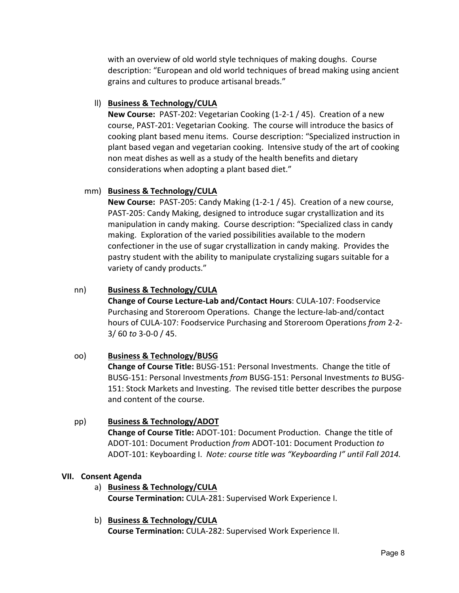with an overview of old world style techniques of making doughs. Course description: "European and old world techniques of bread making using ancient grains and cultures to produce artisanal breads."

### ll) **Business & Technology/CULA**

**New Course:** PAST‐202: Vegetarian Cooking (1‐2‐1 / 45). Creation of a new course, PAST‐201: Vegetarian Cooking. The course will introduce the basics of cooking plant based menu items. Course description: "Specialized instruction in plant based vegan and vegetarian cooking. Intensive study of the art of cooking non meat dishes as well as a study of the health benefits and dietary considerations when adopting a plant based diet."

#### mm) **Business & Technology/CULA**

**New Course:** PAST‐205: Candy Making (1‐2‐1 / 45). Creation of a new course, PAST‐205: Candy Making, designed to introduce sugar crystallization and its manipulation in candy making. Course description: "Specialized class in candy making. Exploration of the varied possibilities available to the modern confectioner in the use of sugar crystallization in candy making. Provides the pastry student with the ability to manipulate crystalizing sugars suitable for a variety of candy products."

#### nn) **Business & Technology/CULA**

**Change of Course Lecture‐Lab and/Contact Hours**: CULA‐107: Foodservice Purchasing and Storeroom Operations. Change the lecture‐lab‐and/contact hours of CULA‐107: Foodservice Purchasing and Storeroom Operations *from* 2‐2‐ 3/ 60 *to* 3‐0‐0 / 45.

## oo) **Business & Technology/BUSG**

**Change of Course Title:** BUSG‐151: Personal Investments. Change the title of BUSG‐151: Personal Investments *from* BUSG‐151: Personal Investments *to* BUSG‐ 151: Stock Markets and Investing. The revised title better describes the purpose and content of the course.

#### pp) **Business & Technology/ADOT**

**Change of Course Title:** ADOT‐101: Document Production. Change the title of ADOT‐101: Document Production *from* ADOT‐101: Document Production *to*  ADOT‐101: Keyboarding I. *Note: course title was "Keyboarding I" until Fall 2014.*

#### **VII. Consent Agenda**

a) **Business & Technology/CULA Course Termination:** CULA‐281: Supervised Work Experience I.

# b) **Business & Technology/CULA**

**Course Termination:** CULA‐282: Supervised Work Experience II.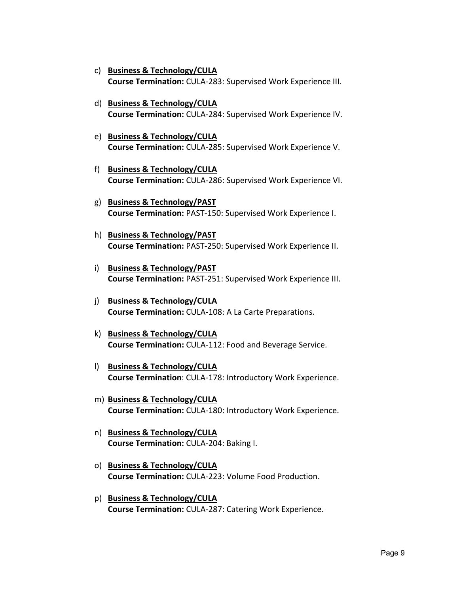- c) **Business & Technology/CULA Course Termination:** CULA‐283: Supervised Work Experience III.
- d) **Business & Technology/CULA Course Termination:** CULA‐284: Supervised Work Experience IV.
- e) **Business & Technology/CULA Course Termination:** CULA‐285: Supervised Work Experience V.
- f) **Business & Technology/CULA Course Termination:** CULA‐286: Supervised Work Experience VI.
- g) **Business & Technology/PAST Course Termination:** PAST‐150: Supervised Work Experience I.
- h) **Business & Technology/PAST Course Termination:** PAST‐250: Supervised Work Experience II.
- i) **Business & Technology/PAST Course Termination:** PAST‐251: Supervised Work Experience III.
- j) **Business & Technology/CULA Course Termination:** CULA‐108: A La Carte Preparations.
- k) **Business & Technology/CULA Course Termination:** CULA‐112: Food and Beverage Service.
- l) **Business & Technology/CULA Course Termination**: CULA‐178: Introductory Work Experience.
- m) **Business & Technology/CULA Course Termination:** CULA‐180: Introductory Work Experience.
- n) **Business & Technology/CULA Course Termination:** CULA‐204: Baking I.
- o) **Business & Technology/CULA Course Termination:** CULA‐223: Volume Food Production.
- p) **Business & Technology/CULA Course Termination:** CULA‐287: Catering Work Experience.